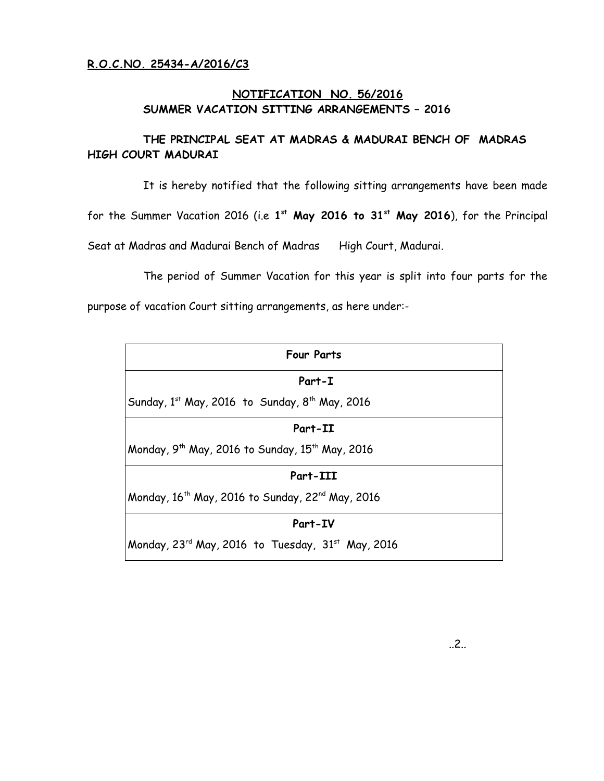#### **NOTIFICATION NO. 56/2016 SUMMER VACATION SITTING ARRANGEMENTS – 2016**

#### **THE PRINCIPAL SEAT AT MADRAS & MADURAI BENCH OF MADRAS HIGH COURT MADURAI**

It is hereby notified that the following sitting arrangements have been made

for the Summer Vacation 2016 (i.e **1 st May 2016 to 31st May 2016**), for the Principal

Seat at Madras and Madurai Bench of Madras High Court, Madurai.

The period of Summer Vacation for this year is split into four parts for the

purpose of vacation Court sitting arrangements, as here under:-

| <b>Four Parts</b>                                                        |
|--------------------------------------------------------------------------|
| Part-I                                                                   |
| Sunday, $1^{st}$ May, 2016 to Sunday, $8^{th}$ May, 2016                 |
| Part-II                                                                  |
| Monday, 9 <sup>th</sup> May, 2016 to Sunday, 15 <sup>th</sup> May, 2016  |
| Part-III                                                                 |
| Monday, 16 <sup>th</sup> May, 2016 to Sunday, 22 <sup>nd</sup> May, 2016 |
| Part-IV                                                                  |
| Monday, $23^{rd}$ May, 2016 to Tuesday, $31^{st}$ May, 2016              |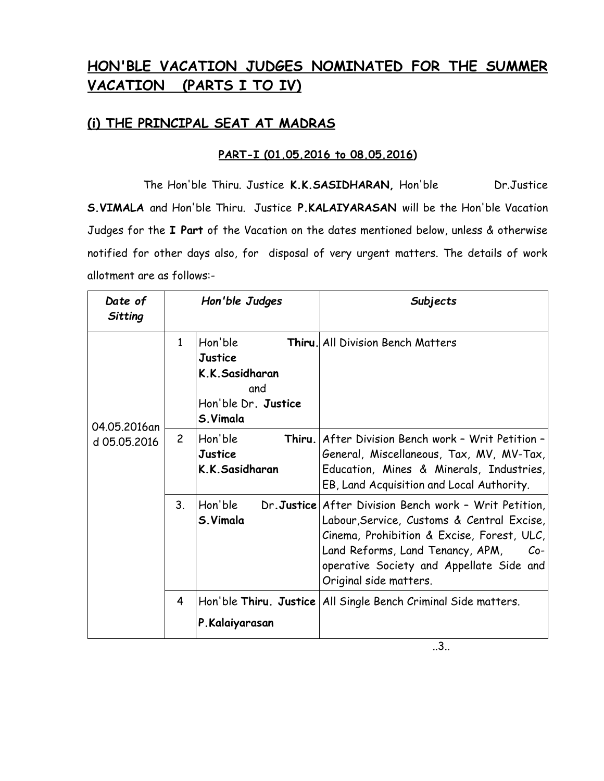# **HON'BLE VACATION JUDGES NOMINATED FOR THE SUMMER VACATION (PARTS I TO IV)**

## **(i) THE PRINCIPAL SEAT AT MADRAS**

### **PART-I (01.05.2016 to 08.05.2016)**

The Hon'ble Thiru. Justice **K.K.SASIDHARAN,** Hon'ble Dr.Justice **S.VIMALA** and Hon'ble Thiru. Justice **P.KALAIYARASAN** will be the Hon'ble Vacation Judges for the **I Part** of the Vacation on the dates mentioned below, unless & otherwise notified for other days also, for disposal of very urgent matters. The details of work allotment are as follows:-

| Date of<br>Sitting |                | Hon'ble Judges                                                                        | Subjects                                                                                                                                                                                                                                                             |
|--------------------|----------------|---------------------------------------------------------------------------------------|----------------------------------------------------------------------------------------------------------------------------------------------------------------------------------------------------------------------------------------------------------------------|
| 04.05.2016an       | 1              | Hon'ble<br><b>Justice</b><br>K.K.Sasidharan<br>and<br>Hon'ble Dr. Justice<br>S.Vimala | <b>Thiru.</b> All Division Bench Matters                                                                                                                                                                                                                             |
| d 05.05.2016       | $\overline{2}$ | Hon'ble<br>Thiru.<br>Justice<br>K.K.Sasidharan                                        | After Division Bench work - Writ Petition -<br>General, Miscellaneous, Tax, MV, MV-Tax,<br>Education, Mines & Minerals, Industries,<br>EB, Land Acquisition and Local Authority.                                                                                     |
|                    | 3 <sub>1</sub> | Hon'ble<br>S.Vimala                                                                   | Dr.Justice After Division Bench work - Writ Petition,<br>Labour, Service, Customs & Central Excise,<br>Cinema, Prohibition & Excise, Forest, ULC,<br>Land Reforms, Land Tenancy, APM,<br>$Co-$<br>operative Society and Appellate Side and<br>Original side matters. |
|                    | 4              | P.Kalaiyarasan                                                                        | Hon'ble Thiru. Justice All Single Bench Criminal Side matters.                                                                                                                                                                                                       |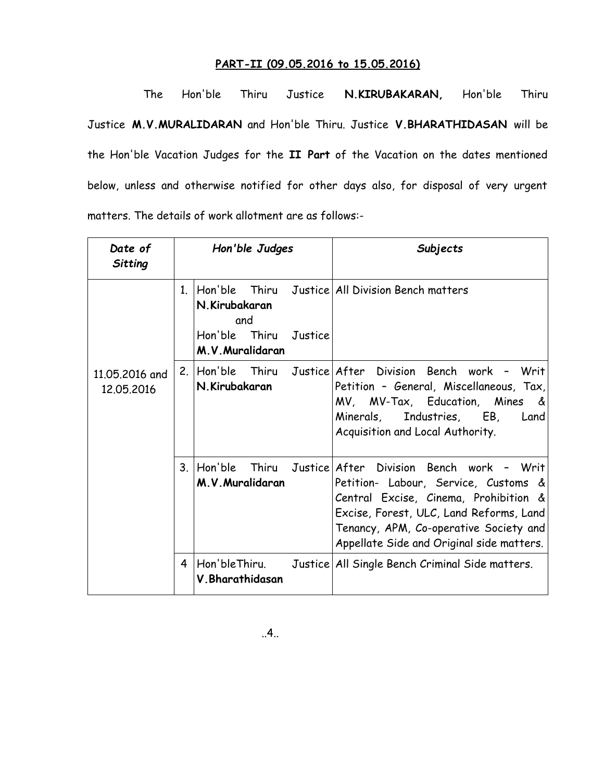#### **PART-II (09.05.2016 to 15.05.2016)**

The Hon'ble Thiru Justice **N.KIRUBAKARAN,** Hon'ble Thiru Justice **M.V.MURALIDARAN** and Hon'ble Thiru. Justice **V.BHARATHIDASAN** will be the Hon'ble Vacation Judges for the **II Part** of the Vacation on the dates mentioned below, unless and otherwise notified for other days also, for disposal of very urgent matters. The details of work allotment are as follows:-

| Date of<br>Sitting           |              | Hon'ble Judges                        |         | Subjects                                                                                                                                                                                                                                                                     |
|------------------------------|--------------|---------------------------------------|---------|------------------------------------------------------------------------------------------------------------------------------------------------------------------------------------------------------------------------------------------------------------------------------|
|                              | $\mathbf{1}$ | N.Kirubakaran<br>and<br>Hon'ble Thiru | Justice | Hon'ble Thiru Justice All Division Bench matters                                                                                                                                                                                                                             |
|                              |              | M.V. Muralidaran                      |         |                                                                                                                                                                                                                                                                              |
| 11.05.2016 and<br>12.05.2016 |              | N.Kirubakaran                         |         | 2. Hon'ble Thiru Justice After Division Bench work -<br>Writ<br>Petition - General, Miscellaneous, Tax,<br>MV, MV-Tax, Education, Mines &<br>Minerals, Industries, EB,<br>Land<br>Acquisition and Local Authority.                                                           |
|                              |              | M.V. Muralidaran                      |         | 3. Hon'ble Thiru Justice After Division Bench work - Writ<br>Petition- Labour, Service, Customs &<br>Central Excise, Cinema, Prohibition &<br>Excise, Forest, ULC, Land Reforms, Land<br>Tenancy, APM, Co-operative Society and<br>Appellate Side and Original side matters. |
|                              | 4            | V. Bharathidasan                      |         | Hon'bleThiru. Justice All Single Bench Criminal Side matters.                                                                                                                                                                                                                |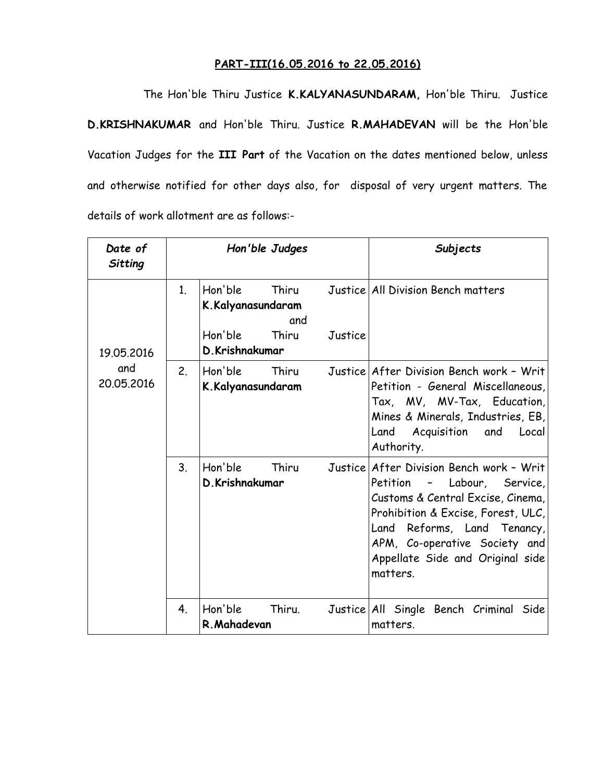#### **PART-III(16.05.2016 to 22.05.2016)**

The Hon'ble Thiru Justice **K.KALYANASUNDARAM,** Hon'ble Thiru. Justice **D.KRISHNAKUMAR** and Hon'ble Thiru. Justice **R.MAHADEVAN** will be the Hon'ble Vacation Judges for the **III Part** of the Vacation on the dates mentioned below, unless and otherwise notified for other days also, for disposal of very urgent matters. The details of work allotment are as follows:-

| Date of<br>Sitting |                | Hon'ble Judges               |              |         | Subjects                                                                                                                                                                                                                                                              |
|--------------------|----------------|------------------------------|--------------|---------|-----------------------------------------------------------------------------------------------------------------------------------------------------------------------------------------------------------------------------------------------------------------------|
|                    | $\mathbf{1}$ . | Hon'ble<br>K.Kalyanasundaram | Thiru<br>and |         | Justice All Division Bench matters                                                                                                                                                                                                                                    |
| 19.05.2016         |                | Hon'ble<br>D.Krishnakumar    | Thiru        | Justice |                                                                                                                                                                                                                                                                       |
| and<br>20.05.2016  | 2.             | Hon'ble<br>K.Kalyanasundaram | Thiru        |         | Justice After Division Bench work - Writ<br>Petition - General Miscellaneous,<br>Tax, MV, MV-Tax, Education,<br>Mines & Minerals, Industries, EB,<br>Land Acquisition and<br>Local<br>Authority.                                                                      |
|                    | 3 <sub>1</sub> | Hon'ble<br>D.Krishnakumar    | Thiru        |         | Justice After Division Bench work - Writ<br>- Labour, Service,<br>Petition<br>Customs & Central Excise, Cinema,<br>Prohibition & Excise, Forest, ULC,<br>Land Reforms, Land Tenancy,<br>APM, Co-operative Society and<br>Appellate Side and Original side<br>matters. |
|                    | 4.             | Hon'ble<br>R. Mahadevan      | Thiru.       |         | Justice All Single Bench Criminal Side<br>matters.                                                                                                                                                                                                                    |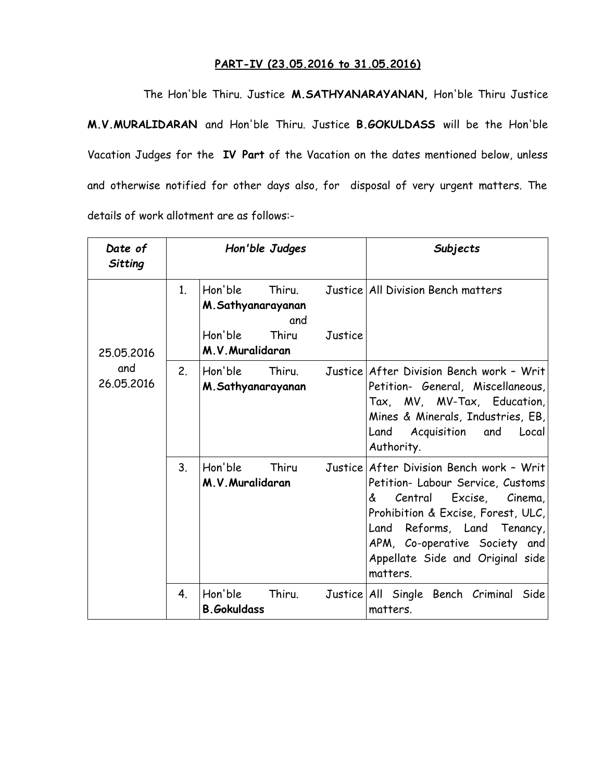#### **PART-IV (23.05.2016 to 31.05.2016)**

The Hon'ble Thiru. Justice **M.SATHYANARAYANAN,** Hon'ble Thiru Justice **M.V.MURALIDARAN** and Hon'ble Thiru. Justice **B.GOKULDASS** will be the Hon'ble Vacation Judges for the **IV Part** of the Vacation on the dates mentioned below, unless and otherwise notified for other days also, for disposal of very urgent matters. The details of work allotment are as follows:-

| Date of<br>Sitting |                | Hon'ble Judges                             |         | Subjects                                                                                                                                                                                                                                                    |
|--------------------|----------------|--------------------------------------------|---------|-------------------------------------------------------------------------------------------------------------------------------------------------------------------------------------------------------------------------------------------------------------|
|                    | 1 <sub>1</sub> | Hon'ble Thiru.<br>M.Sathyanarayanan<br>and |         | Justice All Division Bench matters                                                                                                                                                                                                                          |
| 25.05.2016         |                | Hon'ble<br>Thiru<br>M.V. Muralidaran       | Justice |                                                                                                                                                                                                                                                             |
| and<br>26.05.2016  | 2.             | Hon'ble<br>Thiru.<br>M.Sathyanarayanan     |         | Justice After Division Bench work - Writ<br>Petition- General, Miscellaneous,<br>Tax, MV, MV-Tax, Education,<br>Mines & Minerals, Industries, EB,<br>Land Acquisition and<br>Local<br>Authority.                                                            |
|                    | 3 <sub>1</sub> | Hon'ble<br>Thiru<br>M.V. Muralidaran       | Justice | After Division Bench work - Writ<br>Petition- Labour Service, Customs<br>Central Excise, Cinema,<br>&<br>Prohibition & Excise, Forest, ULC,<br>Land Reforms, Land Tenancy,<br>APM, Co-operative Society and<br>Appellate Side and Original side<br>matters. |
|                    | 4 <sub>1</sub> | Hon'ble<br>Thiru.<br><b>B.Gokuldass</b>    |         | Justice All Single Bench Criminal Side<br>matters.                                                                                                                                                                                                          |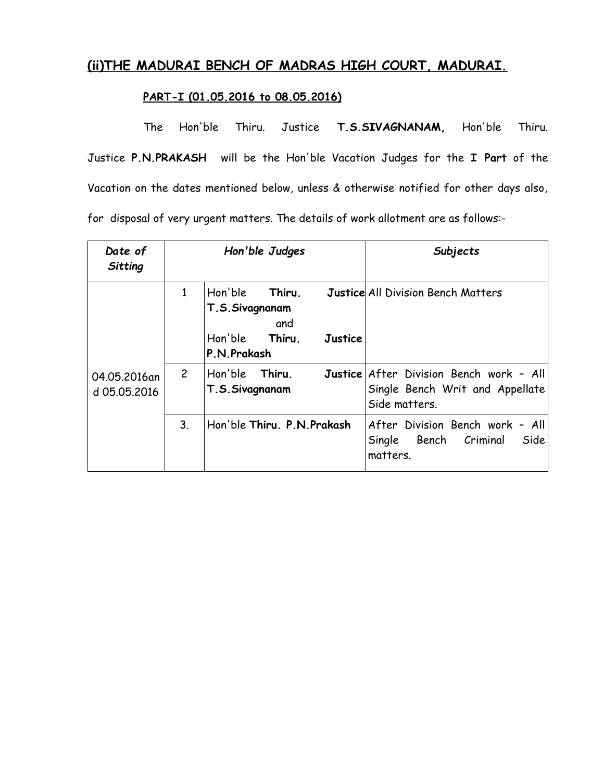# **(ii)THE MADURAI BENCH OF MADRAS HIGH COURT, MADURAI.**

#### **PART-I (01.05.2016 to 08.05.2016)**

The Hon'ble Thiru. Justice **T.S.SIVAGNANAM,** Hon'ble Thiru. Justice **P.N.PRAKASH** will be the Hon'ble Vacation Judges for the **I Part** of the Vacation on the dates mentioned below, unless & otherwise notified for other days also, for disposal of very urgent matters. The details of work allotment are as follows:-

| Date of<br>Sitting           |                | Hon'ble Judges                                                                                | Subjects                                                                                    |
|------------------------------|----------------|-----------------------------------------------------------------------------------------------|---------------------------------------------------------------------------------------------|
|                              | $\mathbf{1}$   | Hon'ble<br>Thiru.<br>T.S.Sivagnanam<br>and<br>Hon'ble Thiru.<br><b>Justice</b><br>P.N.Prakash | <b>Justice All Division Bench Matters</b>                                                   |
| 04.05.2016an<br>d 05.05.2016 | $\mathsf{2}$   | Hon'ble<br>Thiru.<br>T.S.Sivagnanam                                                           | Justice After Division Bench work - All<br>Single Bench Writ and Appellate<br>Side matters. |
|                              | 3 <sub>1</sub> | Hon'ble Thiru, P.N.Prakash                                                                    | After Division Bench work - All<br>Single Bench Criminal<br>Side<br>matters.                |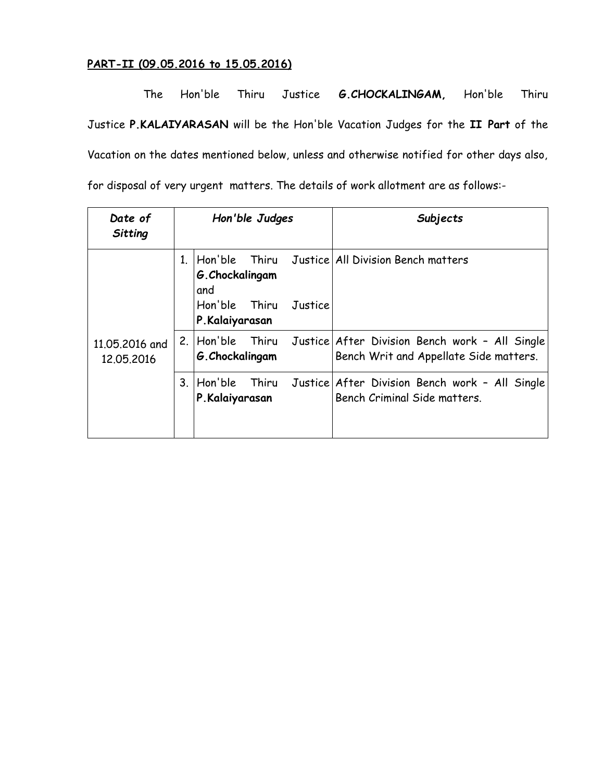### **PART-II (09.05.2016 to 15.05.2016)**

The Hon'ble Thiru Justice **G.CHOCKALINGAM,** Hon'ble Thiru Justice **P.KALAIYARASAN** will be the Hon'ble Vacation Judges for the **II Part** of the Vacation on the dates mentioned below, unless and otherwise notified for other days also, for disposal of very urgent matters. The details of work allotment are as follows:-

| Date of<br>Sitting           | Hon'ble Judges |                                                           |         | Subjects                                                                                                  |
|------------------------------|----------------|-----------------------------------------------------------|---------|-----------------------------------------------------------------------------------------------------------|
|                              |                | G. Chockalingam<br>and<br>Hon'ble Thiru<br>P.Kalaiyarasan | Justice | Hon'ble Thiru Justice All Division Bench matters                                                          |
| 11,05,2016 and<br>12.05.2016 |                | G. Chockalingam                                           |         | 2. Hon'ble Thiru Justice After Division Bench work - All Single<br>Bench Writ and Appellate Side matters. |
|                              | 3.             | Hon'ble<br>P.Kalaiyarasan                                 |         | Thiru Justice After Division Bench work - All Single<br>Bench Criminal Side matters.                      |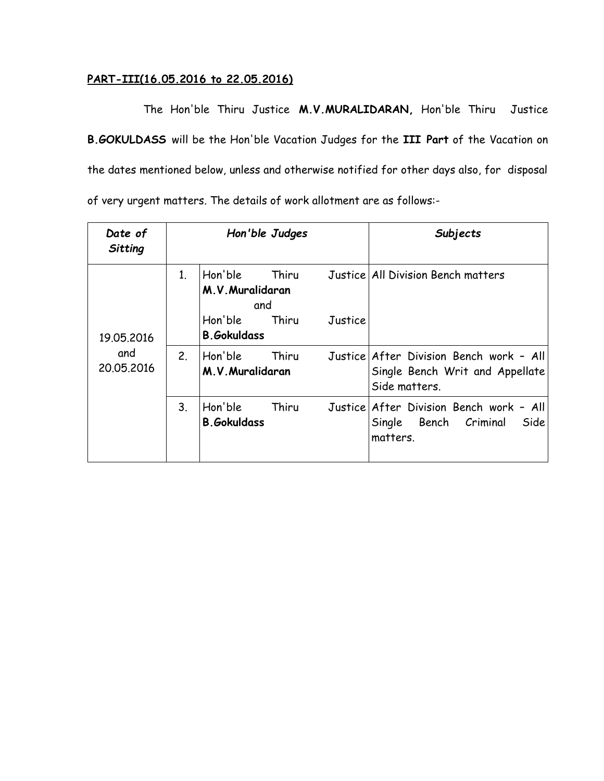#### **PART-III(16.05.2016 to 22.05.2016)**

The Hon'ble Thiru Justice **M.V.MURALIDARAN,** Hon'ble Thiru Justice **B.GOKULDASS** will be the Hon'ble Vacation Judges for the **III Part** of the Vacation on the dates mentioned below, unless and otherwise notified for other days also, for disposal of very urgent matters. The details of work allotment are as follows:-

| Date of<br><b>Sitting</b>       |                | Hon'ble Judges                     |       |         | Subjects                                                                                    |
|---------------------------------|----------------|------------------------------------|-------|---------|---------------------------------------------------------------------------------------------|
|                                 | 1 <sub>1</sub> | Hon'ble<br>M.V. Muralidaran<br>and | Thiru |         | Justice All Division Bench matters                                                          |
| 19.05.2016<br>and<br>20.05.2016 |                | Hon'ble<br><b>B.</b> Gokuldass     | Thiru | Justice |                                                                                             |
|                                 | 2.             | Hon'ble<br>M.V. Muralidaran        | Thiru |         | Justice After Division Bench work - All<br>Single Bench Writ and Appellate<br>Side matters. |
|                                 | 3 <sub>1</sub> | Hon'ble<br><b>B.</b> Gokuldass     | Thiru |         | Justice After Division Bench work - All<br>Single Bench Criminal<br>Side<br>matters.        |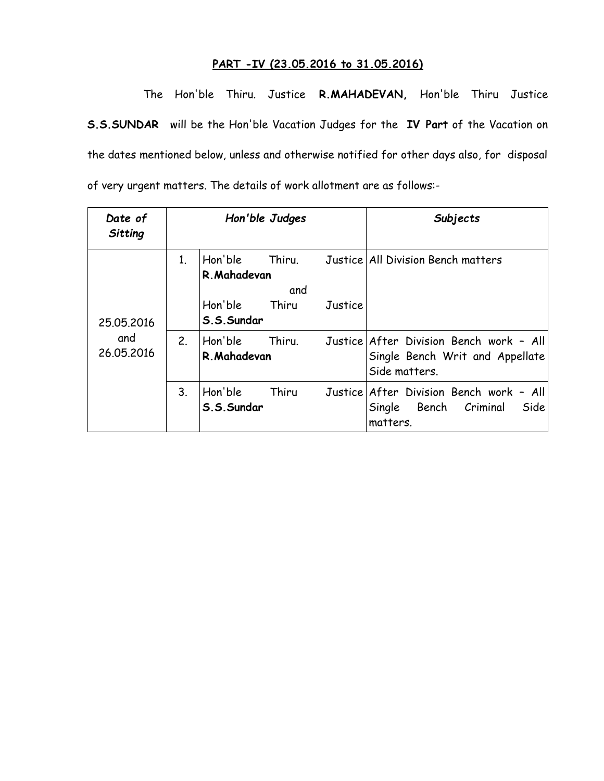#### **PART -IV (23.05.2016 to 31.05.2016)**

The Hon'ble Thiru. Justice **R.MAHADEVAN,** Hon'ble Thiru Justice **S.S.SUNDAR** will be the Hon'ble Vacation Judges for the **IV Part** of the Vacation on the dates mentioned below, unless and otherwise notified for other days also, for disposal of very urgent matters. The details of work allotment are as follows:-

| Date of<br>Sitting              |                |                                                  | Hon'ble Judges         |         | Subjects                                                                                    |
|---------------------------------|----------------|--------------------------------------------------|------------------------|---------|---------------------------------------------------------------------------------------------|
| 25.05.2016<br>and<br>26.05.2016 | 1 <sub>1</sub> | Hon'ble<br>R. Mahadevan<br>Hon'ble<br>S.S.Sundar | Thiru.<br>and<br>Thiru | Justice | Justice   All Division Bench matters                                                        |
|                                 | 2.             | Hon'ble<br>R. Mahadevan                          | Thiru.                 |         | Justice After Division Bench work - All<br>Single Bench Writ and Appellate<br>Side matters. |
|                                 | 3 <sub>1</sub> | Hon'ble<br>S.S.Sundar                            | Thiru                  |         | Justice After Division Bench work - All<br>Single Bench Criminal<br>Side<br>matters.        |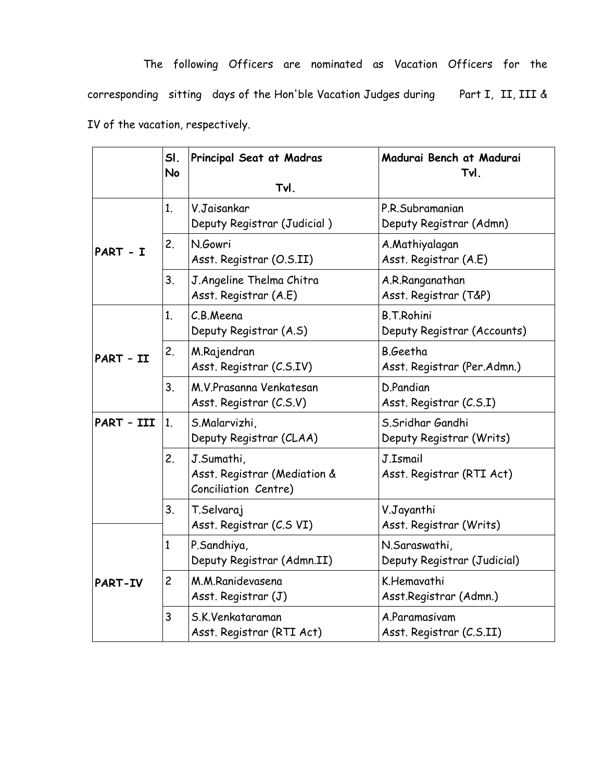The following Officers are nominated as Vacation Officers for the corresponding sitting days of the Hon'ble Vacation Judges during Part I, II, III & IV of the vacation, respectively.

|            | SI.<br><b>No</b> | Principal Seat at Madras<br>Tvl.                                   | Madurai Bench at Madurai<br>Tvl.                 |
|------------|------------------|--------------------------------------------------------------------|--------------------------------------------------|
|            | 1 <sub>1</sub>   | V.Jaisankar<br>Deputy Registrar (Judicial)                         | P.R.Subramanian<br>Deputy Registrar (Admn)       |
| PART - I   | 2.               | N.Gowri<br>Asst. Registrar (O.S.II)                                | A.Mathiyalagan<br>Asst. Registrar (A.E)          |
|            | 3.               | J. Angeline Thelma Chitra<br>Asst. Registrar (A.E)                 | A.R.Ranganathan<br>Asst. Registrar (T&P)         |
|            | 1.               | C.B.Meena<br>Deputy Registrar (A.S)                                | <b>B.T.Rohini</b><br>Deputy Registrar (Accounts) |
| PART - II  | 2.               | M.Rajendran<br>Asst. Registrar (C.S.IV)                            | B.Geetha<br>Asst. Registrar (Per.Admn.)          |
| 3.         |                  | M.V.Prasanna Venkatesan<br>Asst. Registrar (C.S.V)                 | D.Pandian<br>Asst. Registrar (C.S.I)             |
| PART - III | 1 <sub>1</sub>   | S.Malarvizhi,<br>Deputy Registrar (CLAA)                           | S.Sridhar Gandhi<br>Deputy Registrar (Writs)     |
|            | 2.               | J.Sumathi,<br>Asst. Registrar (Mediation &<br>Conciliation Centre) | J.Ismail<br>Asst. Registrar (RTI Act)            |
| 3.         |                  | T.Selvaraj<br>Asst. Registrar (C.S VI)                             | V.Jayanthi<br>Asst. Registrar (Writs)            |
|            | $\mathbf{1}$     | P.Sandhiya,<br>Deputy Registrar (Admn.II)                          | N.Saraswathi,<br>Deputy Registrar (Judicial)     |
| PART-IV    | $\overline{c}$   | M.M.Ranidevasena<br>Asst. Registrar (J)                            | K.Hemavathi<br>Asst.Registrar (Admn.)            |
|            | 3                | S.K.Venkataraman<br>Asst. Registrar (RTI Act)                      | A.Paramasivam<br>Asst. Registrar (C.S.II)        |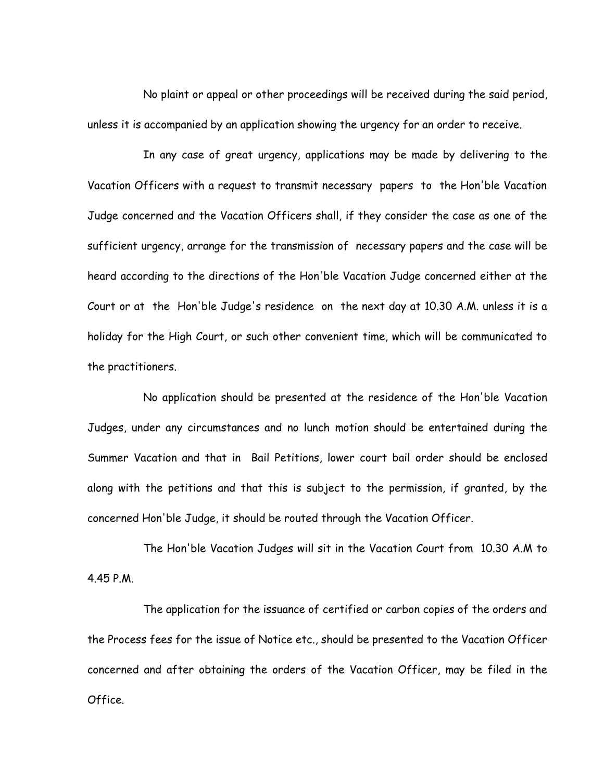No plaint or appeal or other proceedings will be received during the said period, unless it is accompanied by an application showing the urgency for an order to receive.

In any case of great urgency, applications may be made by delivering to the Vacation Officers with a request to transmit necessary papers to the Hon'ble Vacation Judge concerned and the Vacation Officers shall, if they consider the case as one of the sufficient urgency, arrange for the transmission of necessary papers and the case will be heard according to the directions of the Hon'ble Vacation Judge concerned either at the Court or at the Hon'ble Judge's residence on the next day at 10.30 A.M. unless it is a holiday for the High Court, or such other convenient time, which will be communicated to the practitioners.

No application should be presented at the residence of the Hon'ble Vacation Judges, under any circumstances and no lunch motion should be entertained during the Summer Vacation and that in Bail Petitions, lower court bail order should be enclosed along with the petitions and that this is subject to the permission, if granted, by the concerned Hon'ble Judge, it should be routed through the Vacation Officer.

 The Hon'ble Vacation Judges will sit in the Vacation Court from 10.30 A.M to 4.45 P.M.

The application for the issuance of certified or carbon copies of the orders and the Process fees for the issue of Notice etc., should be presented to the Vacation Officer concerned and after obtaining the orders of the Vacation Officer, may be filed in the Office.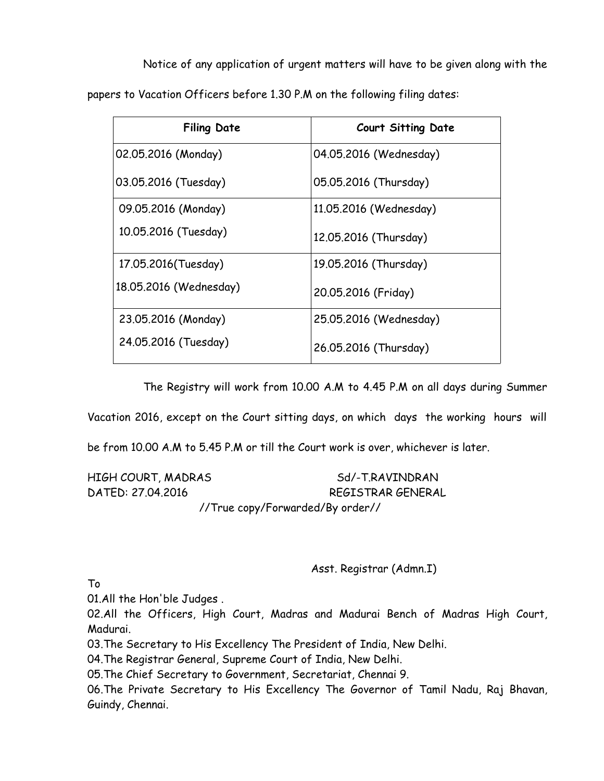Notice of any application of urgent matters will have to be given along with the papers to Vacation Officers before 1.30 P.M on the following filing dates:

| <b>Filing Date</b>     | <b>Court Sitting Date</b> |
|------------------------|---------------------------|
| 02.05.2016 (Monday)    | 04.05.2016 (Wednesday)    |
| 03.05.2016 (Tuesday)   | 05.05.2016 (Thursday)     |
| 09.05.2016 (Monday)    | 11.05.2016 (Wednesday)    |
| 10.05.2016 (Tuesday)   | 12.05.2016 (Thursday)     |
| 17.05.2016(Tuesday)    | 19.05.2016 (Thursday)     |
| 18.05.2016 (Wednesday) | 20.05.2016 (Friday)       |
| 23.05.2016 (Monday)    | 25.05.2016 (Wednesday)    |
| 24.05.2016 (Tuesday)   | 26.05.2016 (Thursday)     |

The Registry will work from 10.00 A.M to 4.45 P.M on all days during Summer

Vacation 2016, except on the Court sitting days, on which days the working hours will

be from 10.00 A.M to 5.45 P.M or till the Court work is over, whichever is later.

| HIGH COURT, MADRAS | Sd/-T.RAVINDRAN                              |
|--------------------|----------------------------------------------|
| DATED: 27.04.2016  | REGISTRAR GENERAL                            |
|                    | $1/T_{\text{NLO}}$ capy/Eanwarded/Dy anden// |

//True copy/Forwarded/By order//

Asst. Registrar (Admn.I)

To

01.All the Hon'ble Judges .

02.All the Officers, High Court, Madras and Madurai Bench of Madras High Court, Madurai.

03.The Secretary to His Excellency The President of India, New Delhi.

04.The Registrar General, Supreme Court of India, New Delhi.

05.The Chief Secretary to Government, Secretariat, Chennai 9.

06.The Private Secretary to His Excellency The Governor of Tamil Nadu, Raj Bhavan, Guindy, Chennai.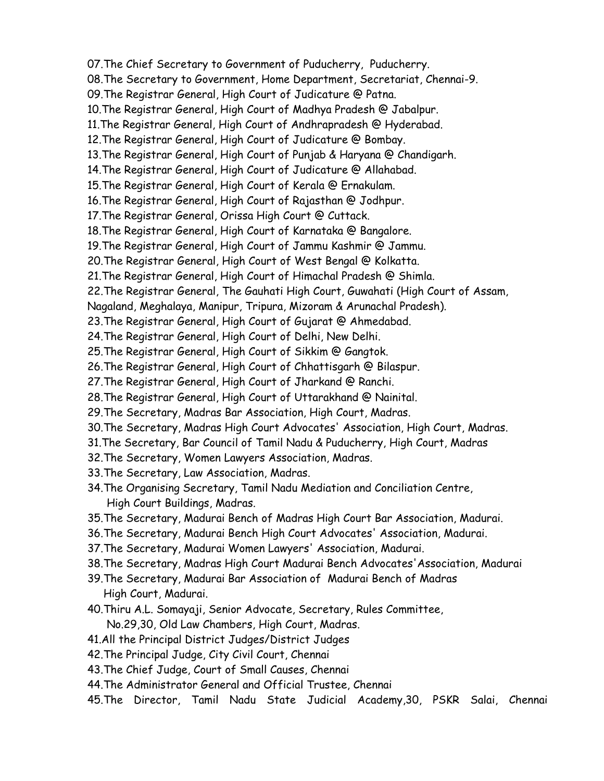07.The Chief Secretary to Government of Puducherry, Puducherry. 08.The Secretary to Government, Home Department, Secretariat, Chennai-9. 09.The Registrar General, High Court of Judicature @ Patna. 10.The Registrar General, High Court of Madhya Pradesh @ Jabalpur. 11.The Registrar General, High Court of Andhrapradesh @ Hyderabad. 12.The Registrar General, High Court of Judicature @ Bombay. 13.The Registrar General, High Court of Punjab & Haryana @ Chandigarh. 14.The Registrar General, High Court of Judicature @ Allahabad. 15.The Registrar General, High Court of Kerala @ Ernakulam. 16.The Registrar General, High Court of Rajasthan @ Jodhpur. 17.The Registrar General, Orissa High Court @ Cuttack. 18.The Registrar General, High Court of Karnataka @ Bangalore. 19.The Registrar General, High Court of Jammu Kashmir @ Jammu. 20.The Registrar General, High Court of West Bengal @ Kolkatta. 21.The Registrar General, High Court of Himachal Pradesh @ Shimla. 22.The Registrar General, The Gauhati High Court, Guwahati (High Court of Assam, Nagaland, Meghalaya, Manipur, Tripura, Mizoram & Arunachal Pradesh). 23.The Registrar General, High Court of Gujarat @ Ahmedabad. 24.The Registrar General, High Court of Delhi, New Delhi. 25.The Registrar General, High Court of Sikkim @ Gangtok. 26.The Registrar General, High Court of Chhattisgarh @ Bilaspur. 27.The Registrar General, High Court of Jharkand @ Ranchi. 28.The Registrar General, High Court of Uttarakhand @ Nainital. 29.The Secretary, Madras Bar Association, High Court, Madras. 30.The Secretary, Madras High Court Advocates' Association, High Court, Madras. 31.The Secretary, Bar Council of Tamil Nadu & Puducherry, High Court, Madras 32.The Secretary, Women Lawyers Association, Madras. 33.The Secretary, Law Association, Madras. 34.The Organising Secretary, Tamil Nadu Mediation and Conciliation Centre, High Court Buildings, Madras. 35.The Secretary, Madurai Bench of Madras High Court Bar Association, Madurai. 36.The Secretary, Madurai Bench High Court Advocates' Association, Madurai. 37.The Secretary, Madurai Women Lawyers' Association, Madurai. 38.The Secretary, Madras High Court Madurai Bench Advocates'Association, Madurai 39.The Secretary, Madurai Bar Association of Madurai Bench of Madras High Court, Madurai. 40.Thiru A.L. Somayaji, Senior Advocate, Secretary, Rules Committee, No.29,30, Old Law Chambers, High Court, Madras. 41.All the Principal District Judges/District Judges 42.The Principal Judge, City Civil Court, Chennai 43.The Chief Judge, Court of Small Causes, Chennai 44.The Administrator General and Official Trustee, Chennai 45.The Director, Tamil Nadu State Judicial Academy,30, PSKR Salai, Chennai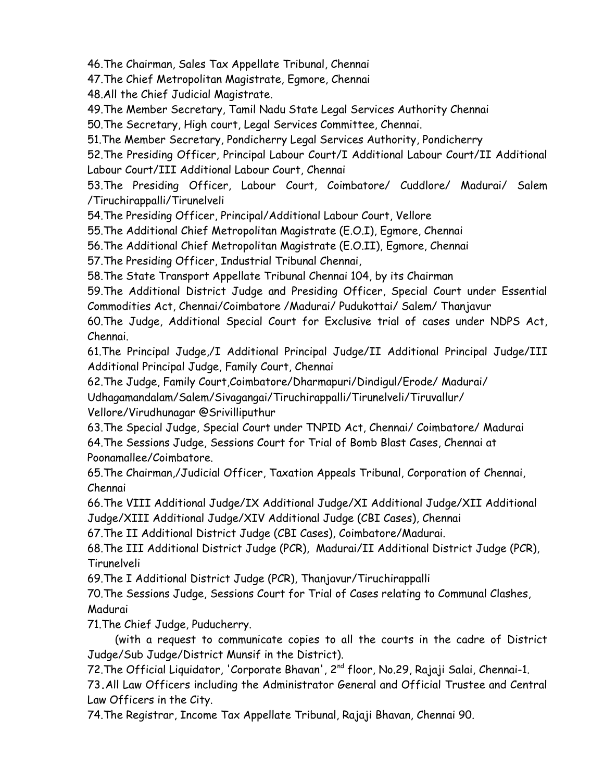46.The Chairman, Sales Tax Appellate Tribunal, Chennai

47.The Chief Metropolitan Magistrate, Egmore, Chennai

48.All the Chief Judicial Magistrate.

49.The Member Secretary, Tamil Nadu State Legal Services Authority Chennai

50.The Secretary, High court, Legal Services Committee, Chennai.

51.The Member Secretary, Pondicherry Legal Services Authority, Pondicherry

52.The Presiding Officer, Principal Labour Court/I Additional Labour Court/II Additional Labour Court/III Additional Labour Court, Chennai

53.The Presiding Officer, Labour Court, Coimbatore/ Cuddlore/ Madurai/ Salem /Tiruchirappalli/Tirunelveli

54.The Presiding Officer, Principal/Additional Labour Court, Vellore

55.The Additional Chief Metropolitan Magistrate (E.O.I), Egmore, Chennai

56.The Additional Chief Metropolitan Magistrate (E.O.II), Egmore, Chennai

57.The Presiding Officer, Industrial Tribunal Chennai,

58.The State Transport Appellate Tribunal Chennai 104, by its Chairman

59.The Additional District Judge and Presiding Officer, Special Court under Essential Commodities Act, Chennai/Coimbatore /Madurai/ Pudukottai/ Salem/ Thanjavur

60.The Judge, Additional Special Court for Exclusive trial of cases under NDPS Act, Chennai.

61.The Principal Judge,/I Additional Principal Judge/II Additional Principal Judge/III Additional Principal Judge, Family Court, Chennai

62.The Judge, Family Court,Coimbatore/Dharmapuri/Dindigul/Erode/ Madurai/ Udhagamandalam/Salem/Sivagangai/Tiruchirappalli/Tirunelveli/Tiruvallur/ Vellore/Virudhunagar @Srivilliputhur

63.The Special Judge, Special Court under TNPID Act, Chennai/ Coimbatore/ Madurai 64.The Sessions Judge, Sessions Court for Trial of Bomb Blast Cases, Chennai at Poonamallee/Coimbatore.

65.The Chairman,/Judicial Officer, Taxation Appeals Tribunal, Corporation of Chennai, Chennai

66.The VIII Additional Judge/IX Additional Judge/XI Additional Judge/XII Additional Judge/XIII Additional Judge/XIV Additional Judge (CBI Cases), Chennai

67.The II Additional District Judge (CBI Cases), Coimbatore/Madurai.

68.The III Additional District Judge (PCR), Madurai/II Additional District Judge (PCR), Tirunelveli

69.The I Additional District Judge (PCR), Thanjavur/Tiruchirappalli

70.The Sessions Judge, Sessions Court for Trial of Cases relating to Communal Clashes, Madurai

71.The Chief Judge, Puducherry.

 (with a request to communicate copies to all the courts in the cadre of District Judge/Sub Judge/District Munsif in the District).

72. The Official Liquidator, 'Corporate Bhavan', 2<sup>nd</sup> floor, No.29, Rajaji Salai, Chennai-1.

73**.**All Law Officers including the Administrator General and Official Trustee and Central Law Officers in the City.

74.The Registrar, Income Tax Appellate Tribunal, Rajaji Bhavan, Chennai 90.